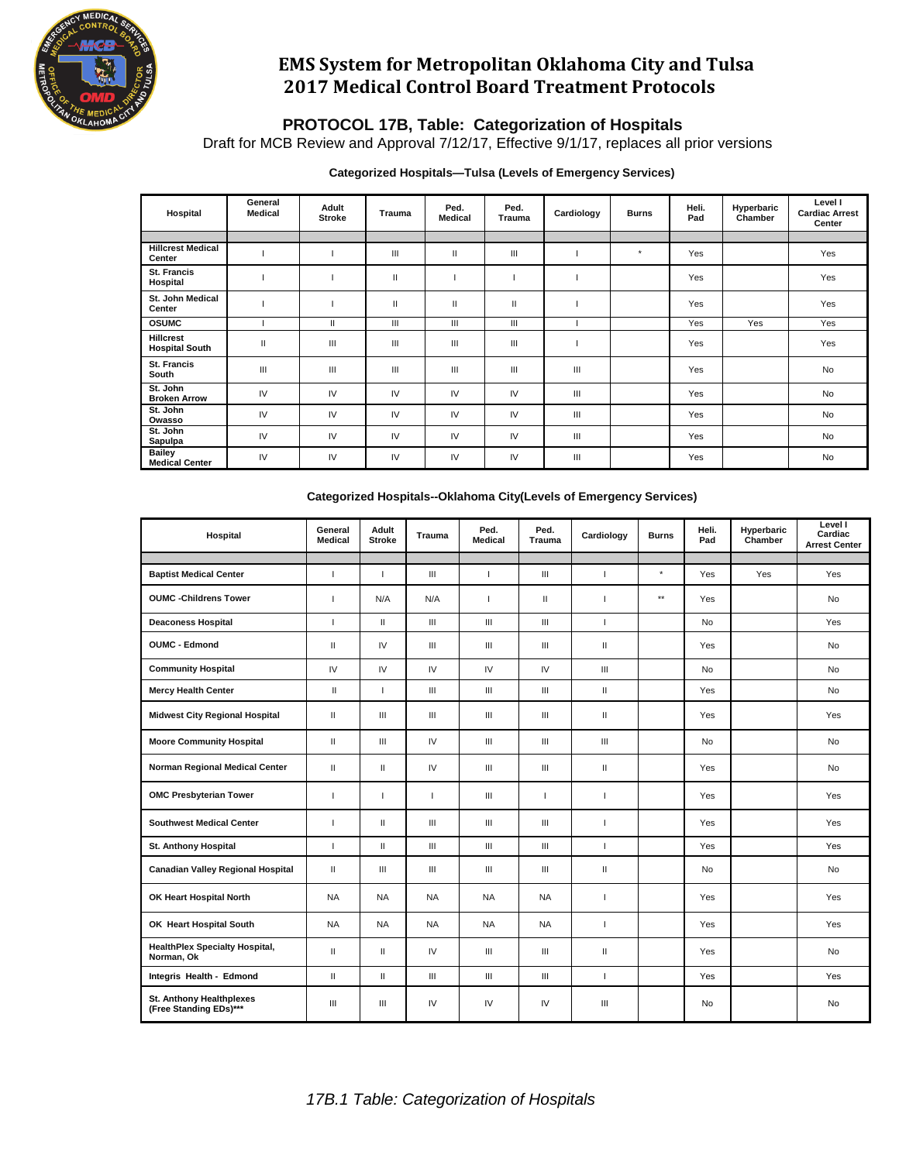

# **EMS System for Metropolitan Oklahoma City and Tulsa 2017 Medical Control Board Treatment Protocols**

### **PROTOCOL 17B, Table: Categorization of Hospitals**

Draft for MCB Review and Approval 7/12/17, Effective 9/1/17, replaces all prior versions

### **Categorized Hospitals—Tulsa (Levels of Emergency Services)**

| Hospital                                  | General<br>Medical | Adult<br><b>Stroke</b> | <b>Trauma</b> | Ped.<br><b>Medical</b> | Ped.<br>Trauma | Cardiology | <b>Burns</b> | Heli.<br>Pad | Hyperbaric<br>Chamber | Level I<br><b>Cardiac Arrest</b><br>Center |
|-------------------------------------------|--------------------|------------------------|---------------|------------------------|----------------|------------|--------------|--------------|-----------------------|--------------------------------------------|
|                                           |                    |                        |               |                        |                |            |              |              |                       |                                            |
| <b>Hillcrest Medical</b><br>Center        |                    |                        | Ш             | Ш                      | III            |            | $\star$      | Yes          |                       | Yes                                        |
| <b>St. Francis</b><br>Hospital            |                    |                        | $\mathbf{I}$  |                        |                |            |              | Yes          |                       | Yes                                        |
| St. John Medical<br>Center                |                    |                        | $\mathbf{I}$  | $\mathbf{H}$           | Ш              |            |              | Yes          |                       | Yes                                        |
| <b>OSUMC</b>                              |                    | $\mathbf{II}$          | Ш             | Ш                      | III            |            |              | Yes          | Yes                   | Yes                                        |
| <b>Hillcrest</b><br><b>Hospital South</b> | $\mathbf{I}$       | Ш                      | Ш             | Ш                      | III            |            |              | Yes          |                       | Yes                                        |
| <b>St. Francis</b><br>South               | Ш                  | Ш                      | Ш             | Ш                      | III            | Ш          |              | Yes          |                       | <b>No</b>                                  |
| St. John<br><b>Broken Arrow</b>           | IV                 | IV                     | IV            | IV                     | IV             | Ш          |              | Yes          |                       | <b>No</b>                                  |
| St. John<br>Owasso                        | IV                 | IV                     | IV            | IV                     | IV             | Ш          |              | Yes          |                       | <b>No</b>                                  |
| St. John<br>Sapulpa                       | $\mathsf{IV}$      | IV                     | IV            | IV                     | IV             | Ш          |              | Yes          |                       | <b>No</b>                                  |
| <b>Bailey</b><br><b>Medical Center</b>    | IV                 | IV                     | IV            | IV                     | IV             | Ш          |              | Yes          |                       | No                                         |

#### **Categorized Hospitals--Oklahoma City(Levels of Emergency Services)**

| Hospital                                                  | General<br><b>Medical</b> | Adult<br><b>Stroke</b>   | <b>Trauma</b>                      | Ped.<br><b>Medical</b>             | Ped.<br><b>Trauma</b>              | Cardiology                 | <b>Burns</b>    | Heli.<br>Pad | Hyperbaric<br>Chamber | Level I<br>Cardiac<br><b>Arrest Center</b> |
|-----------------------------------------------------------|---------------------------|--------------------------|------------------------------------|------------------------------------|------------------------------------|----------------------------|-----------------|--------------|-----------------------|--------------------------------------------|
|                                                           |                           |                          |                                    |                                    |                                    |                            | $\star$         |              |                       |                                            |
| <b>Baptist Medical Center</b>                             | I                         | $\overline{\phantom{a}}$ | $\mathbf{III}$                     | $\mathbf{I}$                       | Ш                                  | $\mathbf{I}$               |                 | Yes          | Yes                   | Yes                                        |
| <b>OUMC</b> - Childrens Tower                             | $\overline{\phantom{a}}$  | N/A                      | N/A                                | $\mathbf{I}$                       | $\mathbf{H}$                       | $\mathbf{I}$               | $^{\star\star}$ | Yes          |                       | No                                         |
| <b>Deaconess Hospital</b>                                 | $\mathbf{I}$              | $\mathbf{H}$             | $\mathbf{III}$                     | $\mathbf{III}$                     | Ш                                  | $\mathbf{I}$               |                 | <b>No</b>    |                       | Yes                                        |
| <b>OUMC - Edmond</b>                                      | $\mathbf{I}$              | IV                       | $\ensuremath{\mathsf{III}}\xspace$ | $\ensuremath{\mathsf{III}}\xspace$ | $\ensuremath{\mathsf{III}}\xspace$ | $\mathbf{H}$               |                 | Yes          |                       | No                                         |
| <b>Community Hospital</b>                                 | IV                        | IV                       | IV                                 | IV                                 | IV                                 | $\mathbf{III}$             |                 | <b>No</b>    |                       | <b>No</b>                                  |
| <b>Mercy Health Center</b>                                | $\mathbf{H}$              | $\mathbf{I}$             | Ш                                  | $\mathbf{III}$                     | Ш                                  | $\mathbf{H}$               |                 | Yes          |                       | No                                         |
| <b>Midwest City Regional Hospital</b>                     | Ш                         | $\mathbf{III}$           | $\ensuremath{\mathsf{III}}\xspace$ | Ш                                  | Ш                                  | $\mathbf{H}$               |                 | Yes          |                       | Yes                                        |
| <b>Moore Community Hospital</b>                           | $\mathbf{I}$              | $\mathbf{III}$           | IV                                 | $\mathbf{III}$                     | Ш                                  | Ш                          |                 | <b>No</b>    |                       | <b>No</b>                                  |
| Norman Regional Medical Center                            | $\mathbf{H}$              | $\mathbf{H}$             | IV                                 | $\mathbf{III}$                     | $\mathbf{III}$                     | $\mathbf{H}$               |                 | Yes          |                       | <b>No</b>                                  |
| <b>OMC Presbyterian Tower</b>                             | $\overline{\phantom{a}}$  | т                        | $\mathbf{I}$                       | $\mathbf{III}$                     | $\overline{1}$                     | $\mathbf{I}$               |                 | Yes          |                       | <b>Yes</b>                                 |
| <b>Southwest Medical Center</b>                           | $\overline{\phantom{a}}$  | $\mathbf{H}$             | $\mathbf{III}$                     | $\mathbf{III}$                     | $\mathbf{III}$                     | $\mathbf{I}$               |                 | Yes          |                       | Yes                                        |
| <b>St. Anthony Hospital</b>                               | $\mathbf{I}$              | $\mathbf{H}$             | $\mathbf{III}$                     | $\mathbf{III}$                     | Ш                                  | $\mathbf{I}$               |                 | Yes          |                       | Yes                                        |
| <b>Canadian Valley Regional Hospital</b>                  | $\mathbf{I}$              | $\mathbf{III}$           | Ш                                  | $\ensuremath{\mathsf{III}}\xspace$ | $\ensuremath{\mathsf{III}}\xspace$ | $\ensuremath{\mathsf{II}}$ |                 | No           |                       | No                                         |
| OK Heart Hospital North                                   | <b>NA</b>                 | <b>NA</b>                | <b>NA</b>                          | <b>NA</b>                          | <b>NA</b>                          | 1                          |                 | Yes          |                       | Yes                                        |
| OK Heart Hospital South                                   | <b>NA</b>                 | <b>NA</b>                | <b>NA</b>                          | <b>NA</b>                          | <b>NA</b>                          | $\overline{1}$             |                 | Yes          |                       | Yes                                        |
| <b>HealthPlex Specialty Hospital,</b><br>Norman, Ok       | $\mathbf{H}$              | Ш                        | IV                                 | $\mathbf{III}$                     | $\mathbf{III}$                     | $\mathbf{H}$               |                 | Yes          |                       | <b>No</b>                                  |
| Integris Health - Edmond                                  | $\mathbf{H}$              | $\mathbf{H}$             | $\mathbf{III}$                     | $\mathbf{III}$                     | Ш                                  | $\mathbf{I}$               |                 | Yes          |                       | Yes                                        |
| <b>St. Anthony Healthplexes</b><br>(Free Standing EDs)*** | Ш                         | $\mathbf{III}$           | IV                                 | IV                                 | IV                                 | Ш                          |                 | No           |                       | No                                         |